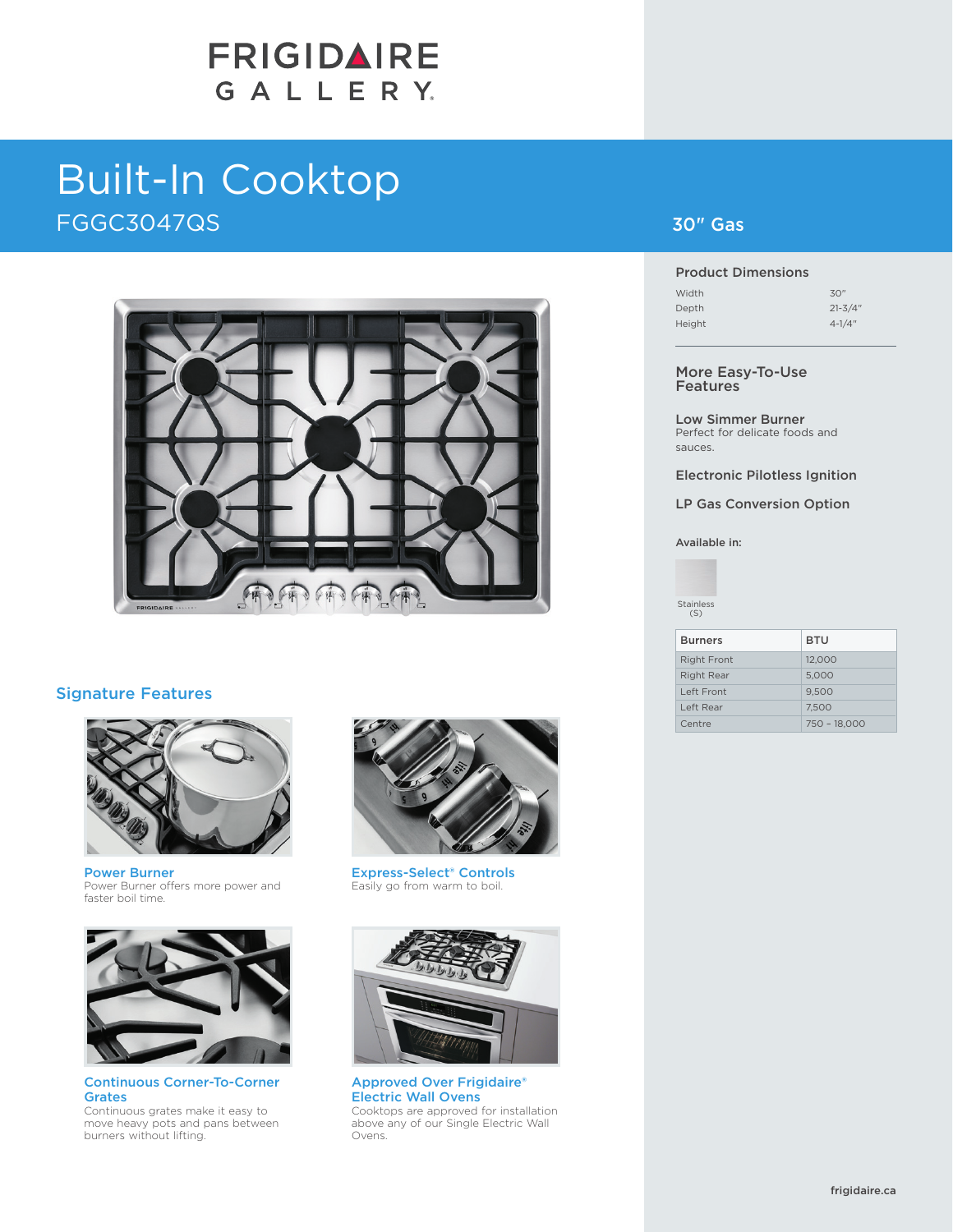# FRIGIDAIRE GALLERY.

# Built-In Cooktop FGGC3047QS



### Signature Features



Power Burner Power Burner offers more power and faster boil time.



Continuous Corner-To-Corner Grates Continuous grates make it easy to move heavy pots and pans between burners without lifting.



Express-Select® Controls Easily go from warm to boil.



Approved Over Frigidaire® Electric Wall Ovens Cooktops are approved for installation above any of our Single Electric Wall Ovens.

## 30" Gas

#### Product Dimensions

| Width  | 30"         |
|--------|-------------|
| Depth  | $21 - 3/4"$ |
| Height | $4 - 1/4$ " |

#### More Easy-To-Use Features

Low Simmer Burner Perfect for delicate foods and sauces.

Electronic Pilotless Ignition

LP Gas Conversion Option

Available in:



| <b>Burners</b>     | <b>BTU</b>     |
|--------------------|----------------|
| <b>Right Front</b> | 12.000         |
| <b>Right Rear</b>  | 5,000          |
| Left Front         | 9.500          |
| Left Rear          | 7.500          |
| Centre             | $750 - 18,000$ |